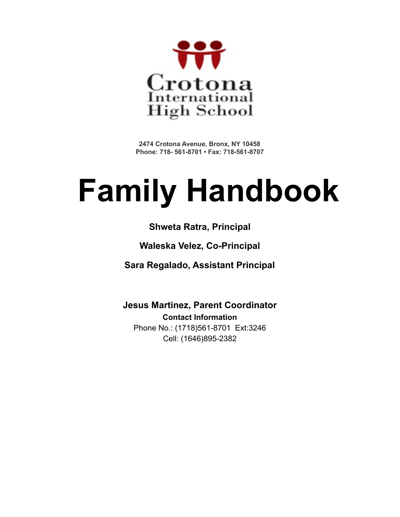

**2474 Crotona Avenue, Bronx, NY 10458 Phone: 718- 561-8701 • Fax: 718-561-8707**

# **Family Handbook**

# **Shweta Ratra, Principal**

# **Waleska Velez, Co-Principal**

**Sara Regalado, Assistant Principal**

**Jesus Martinez, Parent Coordinator Contact Information** Phone No.: (1718)561-8701 Ext:3246 Cell: (1646)895-2382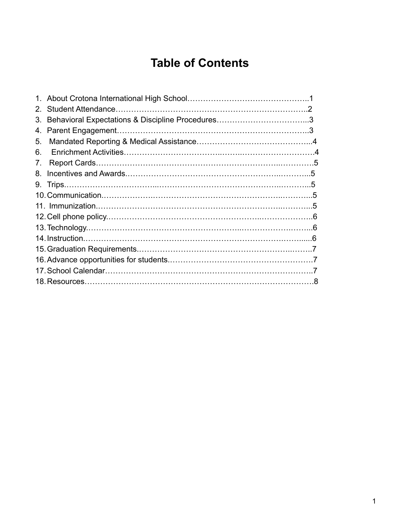# **Table of Contents**

| $2_{-}$ |  |
|---------|--|
| 3.      |  |
| 4.      |  |
| 5.      |  |
| 6.      |  |
| 7.      |  |
| 8.      |  |
|         |  |
|         |  |
|         |  |
|         |  |
|         |  |
|         |  |
|         |  |
|         |  |
|         |  |
|         |  |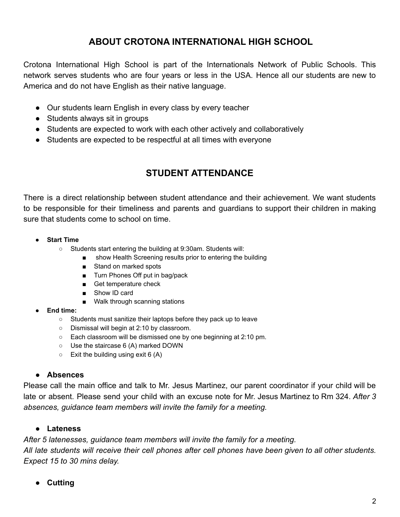# **ABOUT CROTONA INTERNATIONAL HIGH SCHOOL**

Crotona International High School is part of the Internationals Network of Public Schools. This network serves students who are four years or less in the USA. Hence all our students are new to America and do not have English as their native language.

- Our students learn English in every class by every teacher
- Students always sit in groups
- Students are expected to work with each other actively and collaboratively
- Students are expected to be respectful at all times with everyone

# **STUDENT ATTENDANCE**

There is a direct relationship between student attendance and their achievement. We want students to be responsible for their timeliness and parents and guardians to support their children in making sure that students come to school on time.

- **● Start Time**
	- **○** Students start entering the building at 9:30am. Students will:
		- **■** show Health Screening results prior to entering the building
		- Stand on marked spots
		- **■** Turn Phones Off put in bag/pack
		- Get temperature check
		- Show ID card
		- Walk through scanning stations
- **● End time:**
	- Students must sanitize their laptops before they pack up to leave
	- Dismissal will begin at 2:10 by classroom.
	- Each classroom will be dismissed one by one beginning at 2:10 pm.
	- Use the staircase 6 (A) marked DOWN
	- $\circ$  Exit the building using exit 6 (A)

#### **● Absences**

Please call the main office and talk to Mr. Jesus Martinez, our parent coordinator if your child will be late or absent. Please send your child with an excuse note for Mr. Jesus Martinez to Rm 324. *After 3 absences, guidance team members will invite the family for a meeting.*

#### **● Lateness**

*After 5 latenesses, guidance team members will invite the family for a meeting.*

All late students will receive their cell phones after cell phones have been given to all other students. *Expect 15 to 30 mins delay.*

**● Cutting**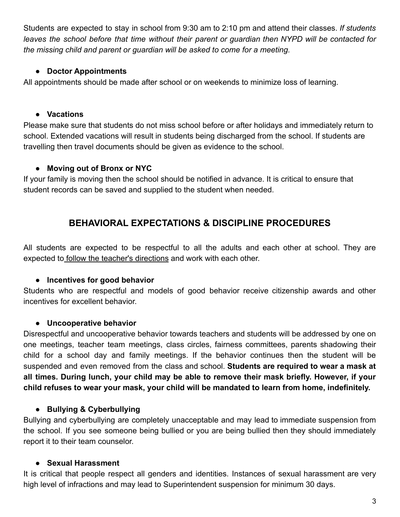Students are expected to stay in school from 9:30 am to 2:10 pm and attend their classes. *If students leaves the school before that time without their parent or guardian then NYPD will be contacted for the missing child and parent or guardian will be asked to come for a meeting.*

#### **● Doctor Appointments**

All appointments should be made after school or on weekends to minimize loss of learning.

# **● Vacations**

Please make sure that students do not miss school before or after holidays and immediately return to school. Extended vacations will result in students being discharged from the school. If students are travelling then travel documents should be given as evidence to the school.

# **● Moving out of Bronx or NYC**

If your family is moving then the school should be notified in advance. It is critical to ensure that student records can be saved and supplied to the student when needed.

# **BEHAVIORAL EXPECTATIONS & DISCIPLINE PROCEDURES**

All students are expected to be respectful to all the adults and each other at school. They are expected to follow the teacher's directions and work with each other.

# **● Incentives for good behavior**

Students who are respectful and models of good behavior receive citizenship awards and other incentives for excellent behavior.

# **● Uncooperative behavior**

Disrespectful and uncooperative behavior towards teachers and students will be addressed by one on one meetings, teacher team meetings, class circles, fairness committees, parents shadowing their child for a school day and family meetings. If the behavior continues then the student will be suspended and even removed from the class and school. **Students are required to wear a mask at all times. During lunch, your child may be able to remove their mask briefly. However, if your child refuses to wear your mask, your child will be mandated to learn from home, indefinitely.**

# **● Bullying & Cyberbullying**

Bullying and cyberbullying are completely unacceptable and may lead to immediate suspension from the school. If you see someone being bullied or you are being bullied then they should immediately report it to their team counselor.

# **● Sexual Harassment**

It is critical that people respect all genders and identities. Instances of sexual harassment are very high level of infractions and may lead to Superintendent suspension for minimum 30 days.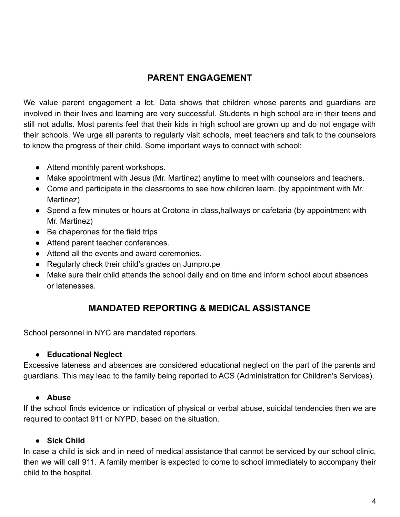# **PARENT ENGAGEMENT**

We value parent engagement a lot. Data shows that children whose parents and guardians are involved in their lives and learning are very successful. Students in high school are in their teens and still not adults. Most parents feel that their kids in high school are grown up and do not engage with their schools. We urge all parents to regularly visit schools, meet teachers and talk to the counselors to know the progress of their child. Some important ways to connect with school:

- Attend monthly parent workshops.
- Make appointment with Jesus (Mr. Martinez) anytime to meet with counselors and teachers.
- Come and participate in the classrooms to see how children learn. (by appointment with Mr. Martinez)
- Spend a few minutes or hours at Crotona in class,hallways or cafetaria (by appointment with Mr. Martinez)
- Be chaperones for the field trips
- Attend parent teacher conferences.
- Attend all the events and award ceremonies.
- Regularly check their child's grades on Jumpro.pe
- Make sure their child attends the school daily and on time and inform school about absences or latenesses.

# **MANDATED REPORTING & MEDICAL ASSISTANCE**

School personnel in NYC are mandated reporters.

#### **● Educational Neglect**

Excessive lateness and absences are considered educational neglect on the part of the parents and guardians. This may lead to the family being reported to ACS (Administration for Children's Services).

#### **● Abuse**

If the school finds evidence or indication of physical or verbal abuse, suicidal tendencies then we are required to contact 911 or NYPD, based on the situation.

#### **● Sick Child**

In case a child is sick and in need of medical assistance that cannot be serviced by our school clinic, then we will call 911. A family member is expected to come to school immediately to accompany their child to the hospital.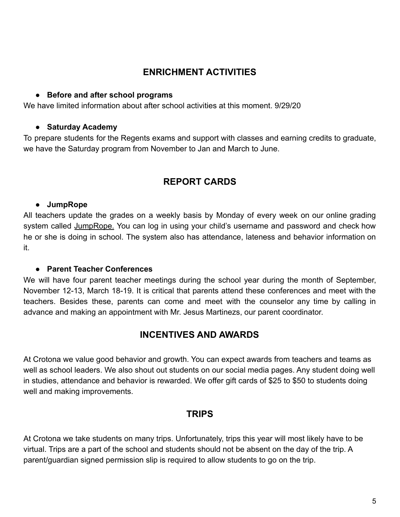# **ENRICHMENT ACTIVITIES**

#### **● Before and after school programs**

We have limited information about after school activities at this moment. 9/29/20

#### **● Saturday Academy**

To prepare students for the Regents exams and support with classes and earning credits to graduate, we have the Saturday program from November to Jan and March to June.

# **REPORT CARDS**

#### **● JumpRope**

All teachers update the grades on a weekly basis by Monday of every week on our online grading system called JumpRope. You can log in using your child's username and password and check how he or she is doing in school. The system also has attendance, lateness and behavior information on it.

#### **● Parent Teacher Conferences**

We will have four parent teacher meetings during the school year during the month of September, November 12-13, March 18-19. It is critical that parents attend these conferences and meet with the teachers. Besides these, parents can come and meet with the counselor any time by calling in advance and making an appointment with Mr. Jesus Martinezs, our parent coordinator.

# **INCENTIVES AND AWARDS**

At Crotona we value good behavior and growth. You can expect awards from teachers and teams as well as school leaders. We also shout out students on our social media pages. Any student doing well in studies, attendance and behavior is rewarded. We offer gift cards of \$25 to \$50 to students doing well and making improvements.

# **TRIPS**

At Crotona we take students on many trips. Unfortunately, trips this year will most likely have to be virtual. Trips are a part of the school and students should not be absent on the day of the trip. A parent/guardian signed permission slip is required to allow students to go on the trip.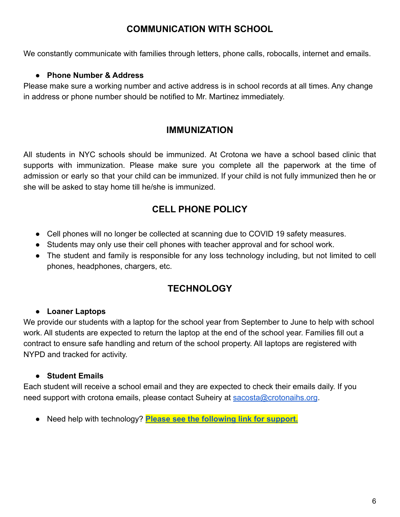# **COMMUNICATION WITH SCHOOL**

We constantly communicate with families through letters, phone calls, robocalls, internet and emails.

#### **● Phone Number & Address**

Please make sure a working number and active address is in school records at all times. Any change in address or phone number should be notified to Mr. Martinez immediately.

# **IMMUNIZATION**

All students in NYC schools should be immunized. At Crotona we have a school based clinic that supports with immunization. Please make sure you complete all the paperwork at the time of admission or early so that your child can be immunized. If your child is not fully immunized then he or she will be asked to stay home till he/she is immunized.

# **CELL PHONE POLICY**

- Cell phones will no longer be collected at scanning due to COVID 19 safety measures.
- Students may only use their cell phones with teacher approval and for school work.
- The student and family is responsible for any loss technology including, but not limited to cell phones, headphones, chargers, etc.

# **TECHNOLOGY**

#### **● Loaner Laptops**

We provide our students with a laptop for the school year from September to June to help with school work. All students are expected to return the laptop at the end of the school year. Families fill out a contract to ensure safe handling and return of the school property. All laptops are registered with NYPD and tracked for activity.

#### **● Student Emails**

Each student will receive a school email and they are expected to check their emails daily. If you need support with crotona emails, please contact Suheiry at [sacosta@crotonaihs.org](mailto:sacosta@crotonaihs.org).

● Need help with technology? **[Please see the following](https://docs.google.com/document/d/1LX9dmxO8olflzwwbb9KOAHkwfrbdX2BnnOrr-LCk7kA/edit) link for support.**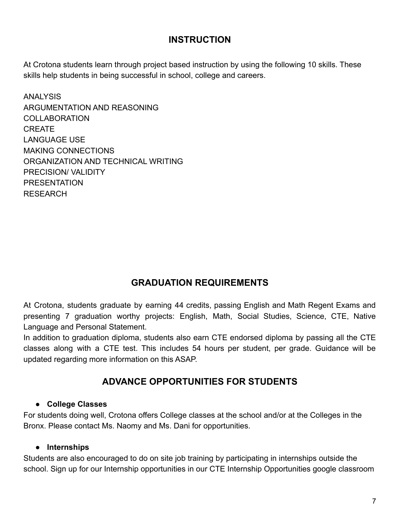# **INSTRUCTION**

At Crotona students learn through project based instruction by using the following 10 skills. These skills help students in being successful in school, college and careers.

ANALYSIS ARGUMENTATION AND REASONING COLLABORATION CREATE LANGUAGE USE MAKING CONNECTIONS ORGANIZATION AND TECHNICAL WRITING PRECISION/ VALIDITY **PRESENTATION** RESEARCH

# **GRADUATION REQUIREMENTS**

At Crotona, students graduate by earning 44 credits, passing English and Math Regent Exams and presenting 7 graduation worthy projects: English, Math, Social Studies, Science, CTE, Native Language and Personal Statement.

In addition to graduation diploma, students also earn CTE endorsed diploma by passing all the CTE classes along with a CTE test. This includes 54 hours per student, per grade. Guidance will be updated regarding more information on this ASAP.

# **ADVANCE OPPORTUNITIES FOR STUDENTS**

#### **● College Classes**

For students doing well, Crotona offers College classes at the school and/or at the Colleges in the Bronx. Please contact Ms. Naomy and Ms. Dani for opportunities.

#### **● Internships**

Students are also encouraged to do on site job training by participating in internships outside the school. Sign up for our Internship opportunities in our CTE Internship Opportunities google classroom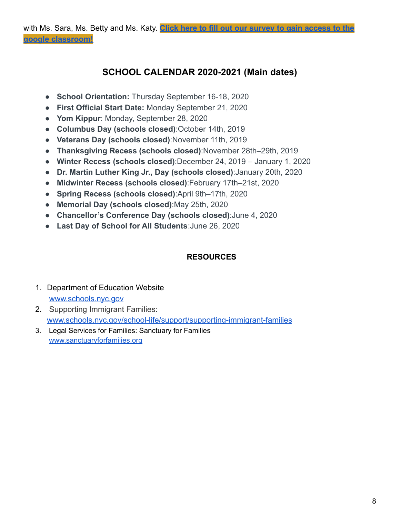# **SCHOOL CALENDAR 2020-2021 (Main dates)**

- **School Orientation:** Thursday September 16-18, 2020
- **First Official Start Date:** Monday September 21, 2020
- **Yom Kippur**: Monday, September 28, 2020
- **Columbus Day (schools closed)**:October 14th, 2019
- **Veterans Day (schools closed)**:November 11th, 2019
- **Thanksgiving Recess (schools closed)**:November 28th–29th, 2019
- **Winter Recess (schools closed)**:December 24, 2019 January 1, 2020
- **Dr. Martin Luther King Jr., Day (schools closed)**:January 20th, 2020
- **Midwinter Recess (schools closed)**:February 17th–21st, 2020
- **Spring Recess (schools closed)**:April 9th–17th, 2020
- **Memorial Day (schools closed)**:May 25th, 2020
- **Chancellor's Conference Day (schools closed)**:June 4, 2020
- **Last Day of School for All Students**:June 26, 2020

#### **RESOURCES**

#### 1. Department of Education Website [www.schools.nyc.gov](http://www.schools.nyc.gov)

- 2. Supporting Immigrant Families: [www.schools.nyc.gov/school-life/support/supporting-immigrant-families](http://www.schools.nyc.gov/school-life/support/supporting-immigrant-families)
- 3. Legal Services for Families: Sanctuary for Families [www.sanctuaryforfamilies.org](http://www.sanctuaryforfamilies.org)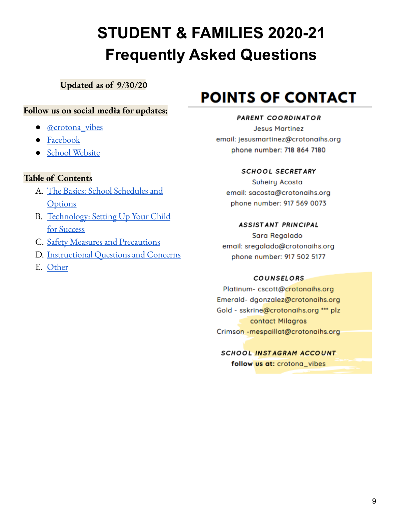# **STUDENT & FAMILIES 2020-21 Frequently Asked Questions**

**Updated as of 9/30/20**

# **Follow us on social media for updates:**

- [@crotona\\_vibes](https://www.instagram.com/crotona_vibes/)
- [Facebook](https://www.facebook.com/Crotona-International-High-School-704123526362627)
- School [Website](https://www.crotonaihs.org/)

# **Table of Contents**

- A. The Basics: School [Schedules](#bookmark=kix.s0qa1vmufkk) and **[Options](#bookmark=kix.s0qa1vmufkk)**
- B. [Technology:](#bookmark=kix.2b02b5dp6ixe) Setting Up Your Child for [Success](#bookmark=kix.2b02b5dp6ixe)
- C. Safety Measures and [Precautions](#bookmark=kix.2bexwi9qjpis)
- D. [Instructional](#bookmark=kix.y1az1fdjbzme) Questions and Concerns
- E. [Other](#bookmark=kix.5065061kbulu)

# **POINTS OF CONTACT**

#### PARENT COORDINATOR

**Jesus Martinez** email: jesusmartinez@crotonaihs.org phone number: 718 864 7180

#### **SCHOOL SECRETARY**

Suheiry Acosta email: sacosta@crotonaihs.org phone number: 917 569 0073

#### **ASSISTANT PRINCIPAL**

Sara Regalado email: sregalado@crotonaihs.org phone number: 917 502 5177

#### **COUNSELORS**

Platinum-cscott@crotonaihs.org Emerald-dgonzalez@crotonaihs.org Gold - sskrine@crotonaihs.org \*\*\* plz contact Milagros Crimson - mespaillat@crotonaihs.org

# SCHOOL INSTAGRAM ACCOUNT

follow us at: crotona vibes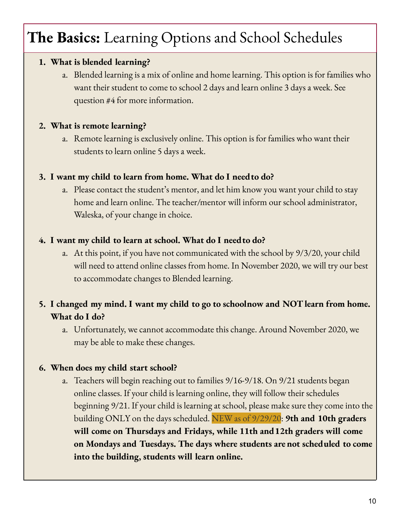# **The Basics:** Learning Options and School Schedules

# **1. What is blended learning?**

a. Blended learning is a mix of online and home learning. This option is for families who want their student to come to school 2 days and learn online 3 days a week. See question #4 for more information.

# **2. What is remote learning?**

a. Remote learning is exclusively online. This option is for families who want their students to learn online 5 days a week.

# **3. I want my child to learn from home. What do I needto do?**

a. Please contact the student's mentor, and let him know you want your child to stay home and learn online. The teacher/mentor will inform our school administrator, Waleska, of your change in choice.

# **4. I want my child to learn at school. What do I needto do?**

a. At this point, if you have not communicated with the school by 9/3/20, your child will need to attend online classes from home. In November 2020, we will try our best to accommodate changes to Blended learning.

# **5. I changed my mind. I want my child to go to schoolnow and NOTlearn from home. What do I do?**

a. Unfortunately, we cannot accommodate this change. Around November 2020, we may be able to make these changes.

# **6. When does my child start school?**

a. Teachers will begin reaching out to families 9/16-9/18. On 9/21 students began online classes. If your child is learning online, they will follow their schedules beginning 9/21. If your child is learning at school, please make sure they come into the building ONLY on the days scheduled. NEW as of 9/29/20: **9th and 10th graders will come on Thursdays and Fridays, while 11th and12th graders will come on Mondays and Tuesdays. The days where students are not scheduled to come into the building, students will learn online.**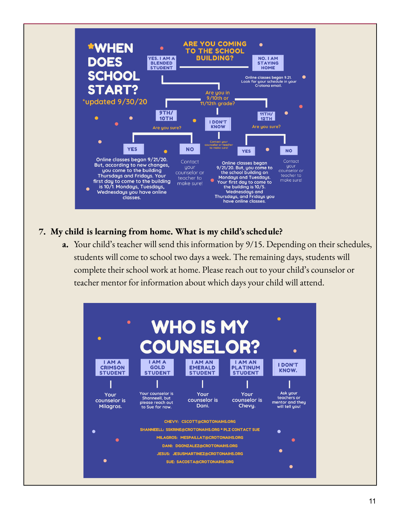

# **7. My child is learning from home. What is my child's schedule?**

**a.** Your child's teacher will send this information by 9/15. Depending on their schedules, students will come to school two days a week. The remaining days, students will complete their school work at home. Please reach out to your child's counselor or teacher mentor for information about which days your child will attend.

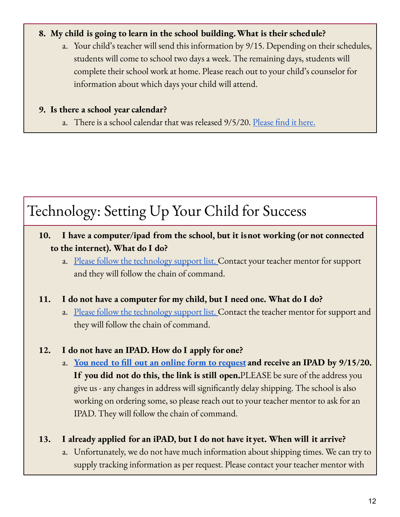# **8. My child is going to learn in the school building.What is their schedule?**

a. Your child's teacher will send this information by 9/15. Depending on their schedules, students will come to school two days a week. The remaining days, students will complete their school work at home. Please reach out to your child's counselor for information about which days your child will attend.

### **9. Is there a school year calendar?**

a. There is a school calendar that was released 9/5/20. [Please](https://www.schools.nyc.gov/about-us/news/2020-2021-school-year-calendar) find it here.

# Technology: Setting Up Your Child for Success

- **10. I have a computer/ipad from the school, but it isnot working (or not connected to the internet). What do I do?**
	- a. Please follow the [technology](https://docs.google.com/document/d/1LX9dmxO8olflzwwbb9KOAHkwfrbdX2BnnOrr-LCk7kA/edit) support list. Contact your teacher mentor for support and they will follow the chain of command.

# **11. I do not have a computer for my child, but I need one. What do I do?**

a. Please follow the [technology](https://docs.google.com/document/d/1LX9dmxO8olflzwwbb9KOAHkwfrbdX2BnnOrr-LCk7kA/edit) support list. Contact the teacher mentor for support and they will follow the chain of command.

# **12. I do not have an IPAD. How do I apply for one?**

a. **You need to fill out an online form to [request](https://coronavirus.schools.nyc/RemoteLearningDevices) and receive an IPAD by 9/15/20. If you did not do this, the link is still open.**PLEASE be sure of the address you give us - any changes in address will significantly delay shipping. The school is also working on ordering some, so please reach out to your teacher mentor to ask for an IPAD. They will follow the chain of command.

# **13. I already applied for an iPAD, but I do not have ityet. When will it arrive?**

a. Unfortunately, we do not have much information about shipping times. We can try to supply tracking information as per request. Please contact your teacher mentor with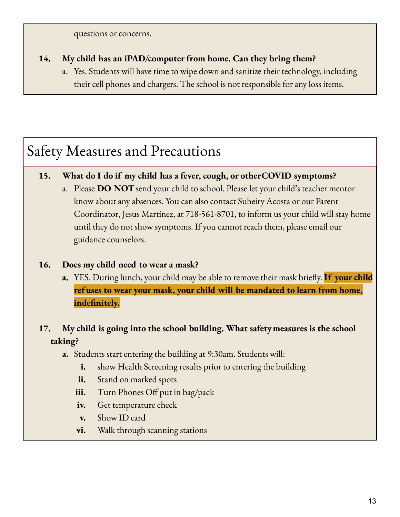questions or concerns.

# **14. My child has an iPAD/computer from home. Can they bring them?**

a. Yes. Students will have time to wipe down and sanitize their technology, including their cell phones and chargers. The school is not responsible for any loss items.

# Safety Measures and Precautions

# **15. What do I do if my child has a fever, cough, or otherCOVID symptoms?**

a. Please **DO NOT**send your child to school. Please let your child's teacher mentor know about any absences. You can also contact Suheiry Acosta or our Parent Coordinator, Jesus Martinez, at 718-561-8701, to inform us your child will stay home until they do not show symptoms. If you cannot reach them, please email our guidance counselors.

# **16. Does my child need to wear a mask?**

**a.** YES. During lunch, your child may be able to remove their mask briefly. **If your child ref uses to wear your mask, your child will be mandated to learn from home, indefinitely.**

# **17. My child is going into the school building. What safetymeasures is the school taking?**

- **a.** Students start entering the building at 9:30am. Students will:
	- **i.** show Health Screening results prior to entering the building
	- **ii.** Stand on marked spots
	- **iii.** Turn Phones Off put in bag/pack
	- **iv.** Get temperature check
	- **v.** Show ID card
	- **vi.** Walk through scanning stations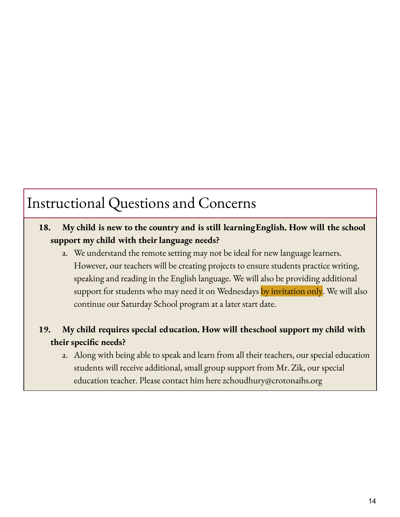# Instructional Questions and Concerns

# **18. My child is new to the country and is still learningEnglish. How will the school support my child with their language needs?**

a. We understand the remote setting may not be ideal for new language learners. However, our teachers will be creating projects to ensure students practice writing, speaking and reading in the English language. We will also be providing additional support for students who may need it on Wednesdays by invitation only. We will also continue our Saturday School program at a later start date.

# **19. My child requires special education. How will theschool support my child with their specific needs?**

a. Along with being able to speak and learn from all their teachers, our special education students will receive additional, small group support from Mr. Zik, our special education teacher. Please contact him here zchoudhury@crotonaihs.org